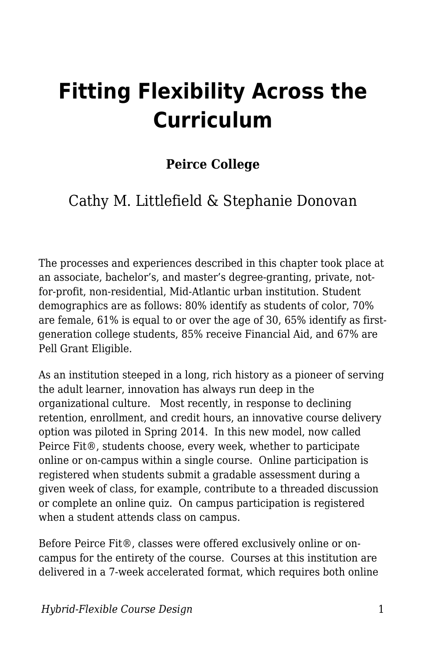# **Fitting Flexibility Across the Curriculum**

#### **Peirce College**

#### Cathy M. Littlefield & Stephanie Donovan

The processes and experiences described in this chapter took place at an associate, bachelor's, and master's degree-granting, private, notfor-profit, non-residential, Mid-Atlantic urban institution. Student demographics are as follows: 80% identify as students of color, 70% are female, 61% is equal to or over the age of 30, 65% identify as firstgeneration college students, 85% receive Financial Aid, and 67% are Pell Grant Eligible.

As an institution steeped in a long, rich history as a pioneer of serving the adult learner, innovation has always run deep in the organizational culture. Most recently, in response to declining retention, enrollment, and credit hours, an innovative course delivery option was piloted in Spring 2014. In this new model, now called Peirce Fit®, students choose, every week, whether to participate online or on-campus within a single course. Online participation is registered when students submit a gradable assessment during a given week of class, for example, contribute to a threaded discussion or complete an online quiz. On campus participation is registered when a student attends class on campus.

Before Peirce Fit®, classes were offered exclusively online or oncampus for the entirety of the course. Courses at this institution are delivered in a 7-week accelerated format, which requires both online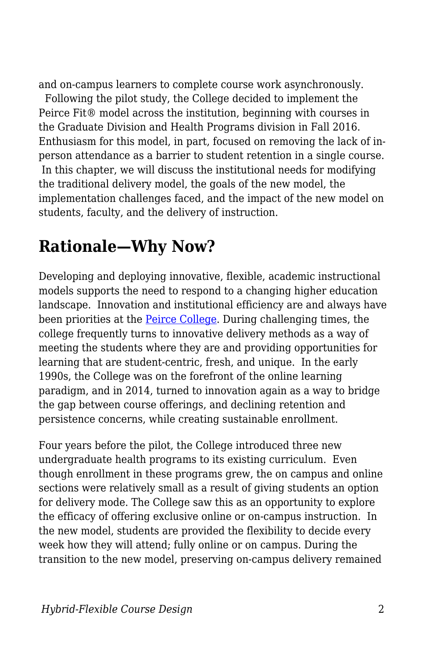and on-campus learners to complete course work asynchronously.

 Following the pilot study, the College decided to implement the Peirce Fit® model across the institution, beginning with courses in the Graduate Division and Health Programs division in Fall 2016. Enthusiasm for this model, in part, focused on removing the lack of inperson attendance as a barrier to student retention in a single course. In this chapter, we will discuss the institutional needs for modifying the traditional delivery model, the goals of the new model, the implementation challenges faced, and the impact of the new model on students, faculty, and the delivery of instruction.

### **Rationale—Why Now?**

Developing and deploying innovative, flexible, academic instructional models supports the need to respond to a changing higher education landscape. Innovation and institutional efficiency are and always have been priorities at the [Peirce College.](https://www.peirce.edu/about-peirce/our-history/timeline) During challenging times, the college frequently turns to innovative delivery methods as a way of meeting the students where they are and providing opportunities for learning that are student-centric, fresh, and unique. In the early 1990s, the College was on the forefront of the online learning paradigm, and in 2014, turned to innovation again as a way to bridge the gap between course offerings, and declining retention and persistence concerns, while creating sustainable enrollment.

Four years before the pilot, the College introduced three new undergraduate health programs to its existing curriculum. Even though enrollment in these programs grew, the on campus and online sections were relatively small as a result of giving students an option for delivery mode. The College saw this as an opportunity to explore the efficacy of offering exclusive online or on-campus instruction. In the new model, students are provided the flexibility to decide every week how they will attend; fully online or on campus. During the transition to the new model, preserving on-campus delivery remained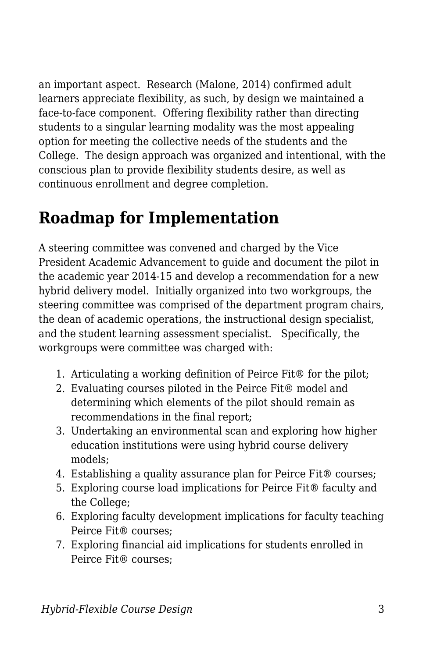an important aspect. Research (Malone, 2014) confirmed adult learners appreciate flexibility, as such, by design we maintained a face-to-face component. Offering flexibility rather than directing students to a singular learning modality was the most appealing option for meeting the collective needs of the students and the College. The design approach was organized and intentional, with the conscious plan to provide flexibility students desire, as well as continuous enrollment and degree completion.

## **Roadmap for Implementation**

A steering committee was convened and charged by the Vice President Academic Advancement to guide and document the pilot in the academic year 2014-15 and develop a recommendation for a new hybrid delivery model. Initially organized into two workgroups, the steering committee was comprised of the department program chairs, the dean of academic operations, the instructional design specialist, and the student learning assessment specialist. Specifically, the workgroups were committee was charged with:

- 1. Articulating a working definition of Peirce Fit® for the pilot;
- 2. Evaluating courses piloted in the Peirce Fit® model and determining which elements of the pilot should remain as recommendations in the final report;
- 3. Undertaking an environmental scan and exploring how higher education institutions were using hybrid course delivery models;
- 4. Establishing a quality assurance plan for Peirce Fit® courses;
- 5. Exploring course load implications for Peirce Fit® faculty and the College;
- 6. Exploring faculty development implications for faculty teaching Peirce Fit® courses;
- 7. Exploring financial aid implications for students enrolled in Peirce Fit® courses;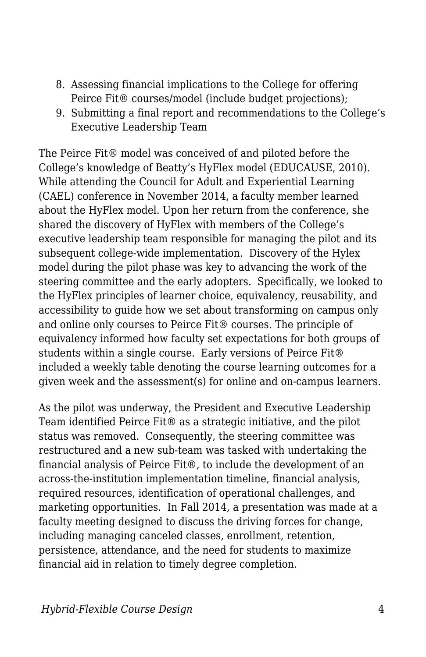- 8. Assessing financial implications to the College for offering Peirce Fit® courses/model (include budget projections);
- 9. Submitting a final report and recommendations to the College's Executive Leadership Team

The Peirce Fit® model was conceived of and piloted before the College's knowledge of Beatty's HyFlex model (EDUCAUSE, 2010). While attending the Council for Adult and Experiential Learning (CAEL) conference in November 2014, a faculty member learned about the HyFlex model. Upon her return from the conference, she shared the discovery of HyFlex with members of the College's executive leadership team responsible for managing the pilot and its subsequent college-wide implementation. Discovery of the Hylex model during the pilot phase was key to advancing the work of the steering committee and the early adopters. Specifically, we looked to the HyFlex principles of learner choice, equivalency, reusability, and accessibility to guide how we set about transforming on campus only and online only courses to Peirce Fit® courses. The principle of equivalency informed how faculty set expectations for both groups of students within a single course. Early versions of Peirce Fit® included a weekly table denoting the course learning outcomes for a given week and the assessment(s) for online and on-campus learners.

As the pilot was underway, the President and Executive Leadership Team identified Peirce Fit® as a strategic initiative, and the pilot status was removed. Consequently, the steering committee was restructured and a new sub-team was tasked with undertaking the financial analysis of Peirce Fit®, to include the development of an across-the-institution implementation timeline, financial analysis, required resources, identification of operational challenges, and marketing opportunities. In Fall 2014, a presentation was made at a faculty meeting designed to discuss the driving forces for change, including managing canceled classes, enrollment, retention, persistence, attendance, and the need for students to maximize financial aid in relation to timely degree completion.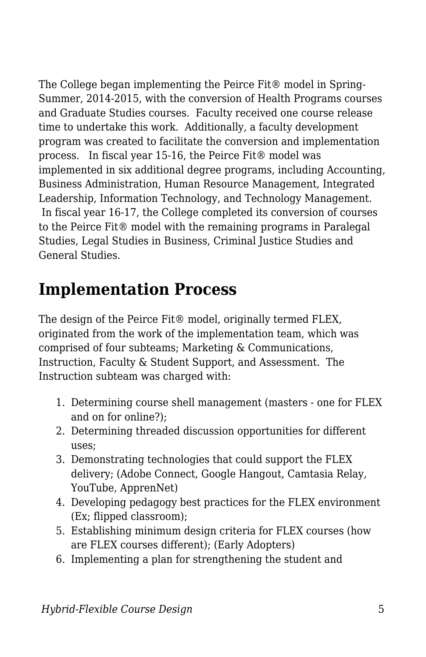The College began implementing the Peirce Fit® model in Spring-Summer, 2014-2015, with the conversion of Health Programs courses and Graduate Studies courses. Faculty received one course release time to undertake this work. Additionally, a faculty development program was created to facilitate the conversion and implementation process. In fiscal year 15-16, the Peirce Fit® model was implemented in six additional degree programs, including Accounting, Business Administration, Human Resource Management, Integrated Leadership, Information Technology, and Technology Management. In fiscal year 16-17, the College completed its conversion of courses to the Peirce Fit® model with the remaining programs in Paralegal Studies, Legal Studies in Business, Criminal Justice Studies and General Studies.

### **Implementation Process**

The design of the Peirce Fit® model, originally termed FLEX, originated from the work of the implementation team, which was comprised of four subteams; Marketing & Communications, Instruction, Faculty & Student Support, and Assessment. The Instruction subteam was charged with:

- 1. Determining course shell management (masters one for FLEX and on for online?);
- 2. Determining threaded discussion opportunities for different uses;
- 3. Demonstrating technologies that could support the FLEX delivery; (Adobe Connect, Google Hangout, Camtasia Relay, YouTube, ApprenNet)
- 4. Developing pedagogy best practices for the FLEX environment (Ex; flipped classroom);
- 5. Establishing minimum design criteria for FLEX courses (how are FLEX courses different); (Early Adopters)
- 6. Implementing a plan for strengthening the student and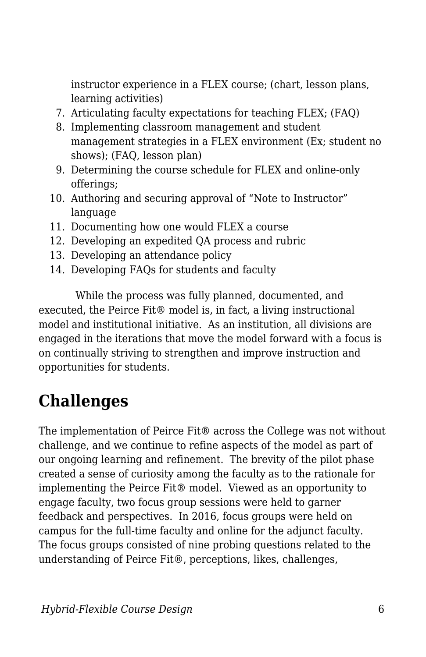instructor experience in a FLEX course; (chart, lesson plans, learning activities)

- 7. Articulating faculty expectations for teaching FLEX; (FAQ)
- 8. Implementing classroom management and student management strategies in a FLEX environment (Ex; student no shows); (FAQ, lesson plan)
- 9. Determining the course schedule for FLEX and online-only offerings;
- 10. Authoring and securing approval of "Note to Instructor" language
- 11. Documenting how one would FLEX a course
- 12. Developing an expedited QA process and rubric
- 13. Developing an attendance policy
- 14. Developing FAQs for students and faculty

 While the process was fully planned, documented, and executed, the Peirce Fit® model is, in fact, a living instructional model and institutional initiative. As an institution, all divisions are engaged in the iterations that move the model forward with a focus is on continually striving to strengthen and improve instruction and opportunities for students.

## **Challenges**

The implementation of Peirce Fit® across the College was not without challenge, and we continue to refine aspects of the model as part of our ongoing learning and refinement. The brevity of the pilot phase created a sense of curiosity among the faculty as to the rationale for implementing the Peirce Fit® model. Viewed as an opportunity to engage faculty, two focus group sessions were held to garner feedback and perspectives. In 2016, focus groups were held on campus for the full-time faculty and online for the adjunct faculty. The focus groups consisted of nine probing questions related to the understanding of Peirce Fit®, perceptions, likes, challenges,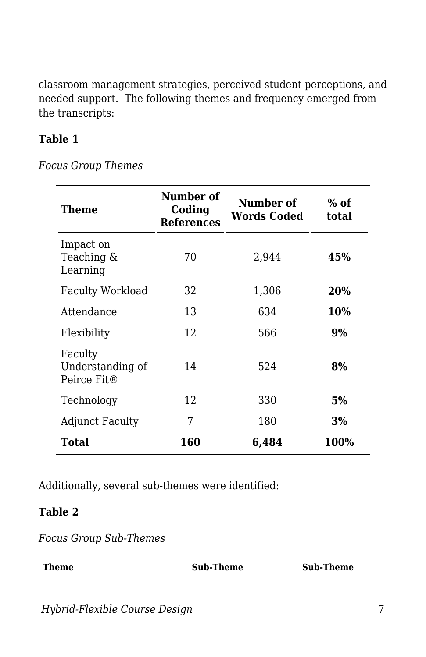classroom management strategies, perceived student perceptions, and needed support. The following themes and frequency emerged from the transcripts:

#### **Table 1**

*Focus Group Themes*

| Theme                                      | Number of<br>Coding<br><b>References</b> | Number of<br><b>Words Coded</b> | $%$ of<br>total |
|--------------------------------------------|------------------------------------------|---------------------------------|-----------------|
| Impact on<br>Teaching &<br>Learning        | 70                                       | 2,944                           | 45%             |
| <b>Faculty Workload</b>                    | 32                                       | 1,306                           | 20%             |
| Attendance                                 | 13                                       | 634                             | 10%             |
| Flexibility                                | 12                                       | 566                             | 9%              |
| Faculty<br>Understanding of<br>Peirce Fit® | 14                                       | 524                             | 8%              |
| Technology                                 | 12                                       | 330                             | 5%              |
| <b>Adjunct Faculty</b>                     | 7                                        | 180                             | 3%              |
| Total                                      | 160                                      | 6,484                           | 100%            |

Additionally, several sub-themes were identified:

#### **Table 2**

*Focus Group Sub-Themes*

| <b>Theme</b> | <b>Sub-Theme</b> | <b>Sub-Theme</b> |  |
|--------------|------------------|------------------|--|
|              |                  |                  |  |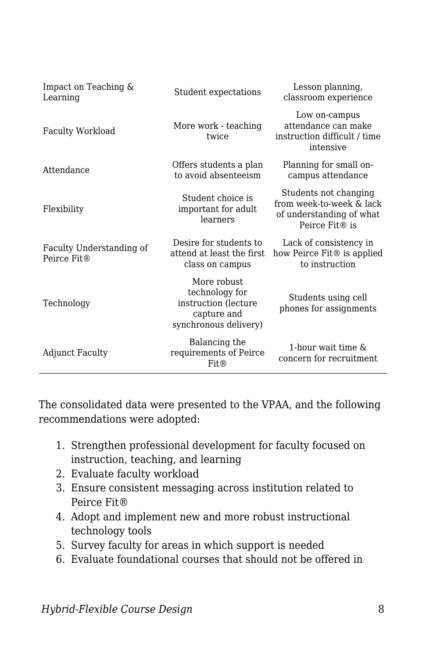| Impact on Teaching &<br>Learning        | Student expectations                                                                          | Lesson planning,<br>classroom experience                                                        |
|-----------------------------------------|-----------------------------------------------------------------------------------------------|-------------------------------------------------------------------------------------------------|
| <b>Faculty Workload</b>                 | More work - teaching<br>twice                                                                 | Low on-campus<br>attendance can make<br>instruction difficult / time<br>intensive               |
| Attendance                              | Offers students a plan<br>to avoid absenteeism                                                | Planning for small on-<br>campus attendance                                                     |
| Flexibility                             | Student choice is<br>important for adult<br>learners                                          | Students not changing<br>from week-to-week & lack<br>of understanding of what<br>Peirce Fit® is |
| Faculty Understanding of<br>Peirce Fit® | Desire for students to<br>attend at least the first<br>class on campus                        | Lack of consistency in<br>how Peirce Fit® is applied<br>to instruction                          |
| Technology                              | More robust<br>technology for<br>instruction (lecture<br>capture and<br>synchronous delivery) | Students using cell<br>phones for assignments                                                   |
| Adjunct Faculty                         | Balancing the<br>requirements of Peirce<br>Fit@                                               | 1-hour wait time $\&$<br>concern for recruitment                                                |

The consolidated data were presented to the VPAA, and the following recommendations were adopted:

- 1. Strengthen professional development for faculty focused on instruction, teaching, and learning
- 2. Evaluate faculty workload
- 3. Ensure consistent messaging across institution related to Peirce Fit®
- 4. Adopt and implement new and more robust instructional technology tools
- 5. Survey faculty for areas in which support is needed
- 6. Evaluate foundational courses that should not be offered in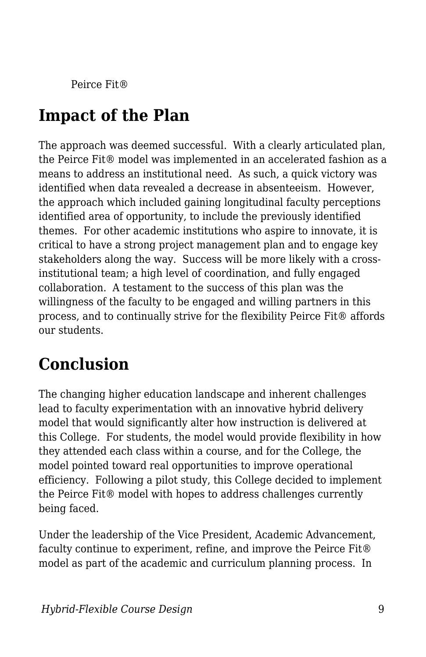Peirce Fit®

## **Impact of the Plan**

The approach was deemed successful. With a clearly articulated plan, the Peirce Fit® model was implemented in an accelerated fashion as a means to address an institutional need. As such, a quick victory was identified when data revealed a decrease in absenteeism. However, the approach which included gaining longitudinal faculty perceptions identified area of opportunity, to include the previously identified themes. For other academic institutions who aspire to innovate, it is critical to have a strong project management plan and to engage key stakeholders along the way. Success will be more likely with a crossinstitutional team; a high level of coordination, and fully engaged collaboration. A testament to the success of this plan was the willingness of the faculty to be engaged and willing partners in this process, and to continually strive for the flexibility Peirce Fit® affords our students.

## **Conclusion**

The changing higher education landscape and inherent challenges lead to faculty experimentation with an innovative hybrid delivery model that would significantly alter how instruction is delivered at this College. For students, the model would provide flexibility in how they attended each class within a course, and for the College, the model pointed toward real opportunities to improve operational efficiency. Following a pilot study, this College decided to implement the Peirce Fit® model with hopes to address challenges currently being faced.

Under the leadership of the Vice President, Academic Advancement, faculty continue to experiment, refine, and improve the Peirce Fit® model as part of the academic and curriculum planning process. In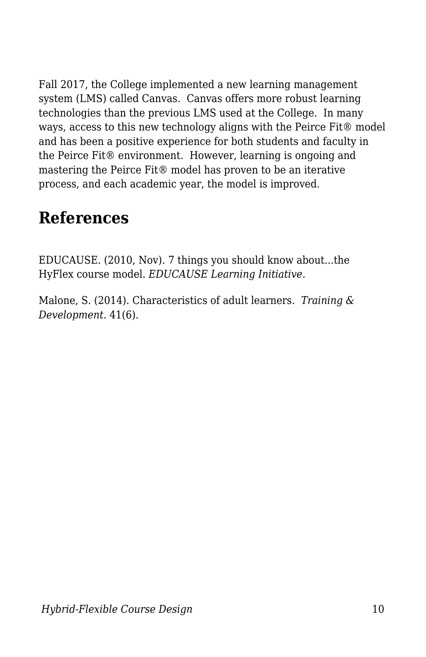Fall 2017, the College implemented a new learning management system (LMS) called Canvas. Canvas offers more robust learning technologies than the previous LMS used at the College. In many ways, access to this new technology aligns with the Peirce Fit® model and has been a positive experience for both students and faculty in the Peirce Fit® environment. However, learning is ongoing and mastering the Peirce Fit® model has proven to be an iterative process, and each academic year, the model is improved.

### **References**

EDUCAUSE. (2010, Nov). 7 things you should know about...the HyFlex course model. *EDUCAUSE Learning Initiative.*

Malone, S. (2014). Characteristics of adult learners. *Training & Development*. 41(6).